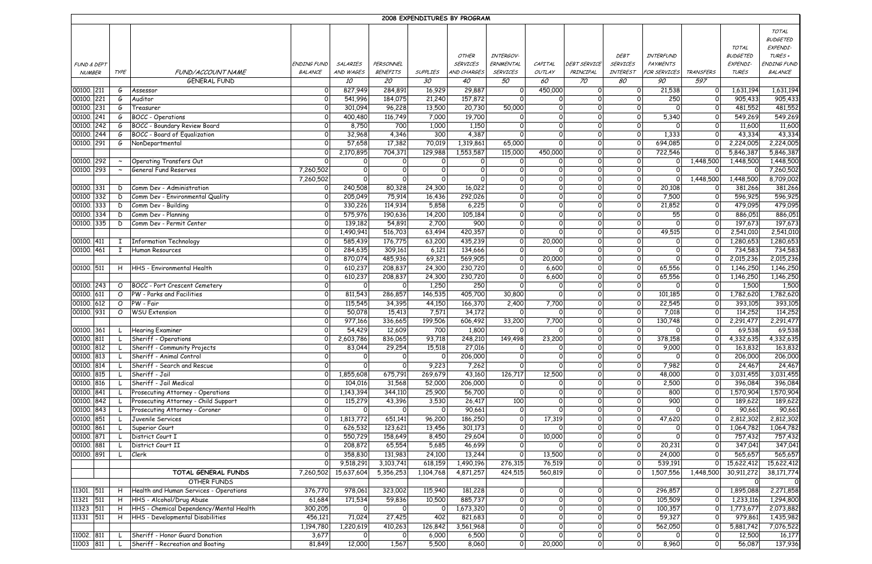| 2008 EXPENDITURES BY PROGRAM |  |         |                                                         |                      |                      |                   |                    |                  |                 |                             |                     |                     |                      |                              |                    |                    |
|------------------------------|--|---------|---------------------------------------------------------|----------------------|----------------------|-------------------|--------------------|------------------|-----------------|-----------------------------|---------------------|---------------------|----------------------|------------------------------|--------------------|--------------------|
|                              |  |         |                                                         |                      |                      |                   |                    |                  |                 |                             |                     |                     |                      |                              |                    | TOTAL              |
|                              |  |         |                                                         |                      |                      |                   |                    |                  |                 |                             |                     |                     |                      |                              |                    | <b>BUDGETED</b>    |
|                              |  |         |                                                         |                      |                      |                   |                    |                  |                 |                             |                     |                     |                      |                              | TOTAL              | EXPENDI-           |
|                              |  |         |                                                         |                      |                      |                   |                    | OTHER            | INTERGOV-       |                             |                     | <b>DEBT</b>         | INTERFUND            |                              | <b>BUDGETED</b>    | TURES +            |
| <b>FUND &amp; DEPT</b>       |  |         |                                                         | ENDING FUND          | SALARIES             | <b>PERSONNEL</b>  |                    | <b>SERVICES</b>  | ERNMENTAL       | CAPITAL                     | DEBT SERVICE        | <b>SERVICES</b>     | <b>PAYMENTS</b>      |                              | EXPENDI-           | ENDING FUND        |
| <b>NUMBER</b>                |  | TYPE    | FUND/ACCOUNT NAME                                       | BALANCE              | AND WAGES            | <b>BENEFITS</b>   | <b>SUPPLIES</b>    | AND CHARGES      | <b>SERVICES</b> | OUTLAY                      | PRINCIPAL           | INTEREST            | FOR SERVICES         | <b>TRANSFERS</b>             | <b>TURES</b>       | BALANCE            |
|                              |  |         | <b>GENERAL FUND</b>                                     |                      | 10                   | 20                | 30                 | 40               | 50              | 60                          | 70                  | 80                  | 90                   | 597                          |                    |                    |
| 00100. 211                   |  | G       | Assessor                                                | $\overline{0}$       | 827,949              | 284,891           | 16,929             | 29,887           | 0l              | 450,000                     | 0l                  | $\circ$             | 21,538               | $\mathsf{O}$                 | 1,631,194          | 1,631,194          |
| 00100. 221                   |  | G       | Auditor                                                 | $\circ$              | 541,996              | 184,075           | 21,240             | 157,872          | 0               | 0                           | $\Omega$            | οı                  | 250                  | $\Omega$                     | 905,433            | 905,433            |
| 00100. 231                   |  | G       | Treasurer                                               | $\mathsf{O}$         | 301,094              | 96,228            | 13,500             | 20,730           | 50,000          | 0                           | οı                  | 0l                  | $\Omega$             | $\circ$                      | 481,552            | 481,552            |
| 00100. 241                   |  | G       | <b>BOCC</b> - Operations                                | 0                    | 400,480              | 116,749           | 7,000              | 19,700           | 0               | $\mathbf 0$                 | $\Omega$            | 0l                  | 5,340                | $\mathbf 0$                  | 549,269            | 549,269            |
| 00100. 242                   |  | G       | BOCC - Boundary Review Board                            | $\overline{0}$       | 8,750                | 700               | 1,000              | 1,150            | 0l              | $\mathbf 0$                 | 0l                  | 0                   | $\Omega$             | $\mathsf{O}$                 | 11,600             | 11,600             |
| 00100. 244                   |  |         | G  BOCC - Board of Equalization                         | $\overline{0}$       | 32,968               | 4,346             | 300                | 4,387            | $\mathbf 0$     | $\mathbf 0$                 | 0l                  | $\Omega$            | 1,333                | $\Omega$                     | 43,334             | 43,334             |
| 00100. 291                   |  | G       | NonDepartmental                                         | $\mathsf{O}$         | 57,658               | 17,382            | 70,019             | 1,319,861        | 65,000          | $\mathsf{O}$                | $\Omega$            | $\Omega$            | 694,085              |                              | 2,224,005          | 2,224,005          |
|                              |  |         |                                                         | $\Omega$             | 2,170,895            | 704,371           | 129,988            | 1,553,587        | 115,000         | 450,000                     | $\mathbf 0$         | $\circ$             | 722,546              |                              | 5,846,387          | 5,846,387          |
| 00100. 292                   |  |         | Operating Transfers Out                                 | $\Omega$             | $\Omega$             |                   |                    | 0                | 0               | $\Omega$                    | $\mathbf 0$         | 0l                  | οl                   | 1,448,500                    | 1,448,500          | 1,448,500          |
| 00100. 293                   |  |         | General Fund Reserves                                   | 7,260,502            | $\Omega$<br>$\Omega$ |                   |                    |                  | $\mathbf 0$     | $\mathbf 0$                 | $\Omega$            | $\Omega$            | $\Omega$             | $\Omega$                     |                    | 7,260,502          |
|                              |  |         |                                                         | 7,260,502            |                      | $\Omega$          | $\Omega$<br>24,300 | $\Omega$         | 0l              | $\mathbf 0$                 | 0l<br>0l            | 0l                  | $\Omega$<br>20,108   | 1,448,500                    | 1,448,500          | 8,709,002          |
| 00100. 331<br>00100 332      |  | D       | Comm Dev - Administration                               | $\mathsf{o}$         | 240,508              | 80,328            |                    | 16,022           | 0               | $\mathsf{o}$                |                     | $\circ$             |                      | $\mathbf 0$                  | 381,266            | 381,266            |
| 00100. 333                   |  | D       | Comm Dev - Environmental Quality<br>Comm Dev - Building | $\overline{0}$<br> 0 | 205,049<br>330,226   | 75,914<br>114,934 | 16,436<br>5,858    | 292,026<br>6,225 | 0 <br> 0        | $\mathsf{o}$<br>$\mathbf 0$ | $\circ$<br>$\Omega$ | $\circ$<br>$\Omega$ | 7,500<br>21,852      | $\mathsf{O}$<br>$\mathsf{O}$ | 596,925<br>479,095 | 596,925<br>479,095 |
| 00100. 334                   |  | D<br>D  | Comm Dev - Planning                                     | $\mathbf 0$          | 575,976              | 190,636           | 14,200             | 105,184          | 0               | $\mathbf 0$                 | $\Omega$            | $\Omega$            | 55                   | $\mathbf 0$                  | 886,051            | 886,051            |
| 00100. 335                   |  | D       | Comm Dev - Permit Center                                | $\Omega$             | 139,182              | 54,891            | 2,700              | 900              | 0               | $\Omega$                    | 0l                  | 0                   | $\overline{O}$       | $\Omega$                     | 197,673            | 197,673            |
|                              |  |         |                                                         | $\Omega$             | 1,490,941            | 516,703           | 63,494             | 420,357          | $\overline{O}$  | $\Omega$                    | $\Omega$            | $\Omega$            | 49,515               | $\Omega$                     | 2,541,010          | 2,541,010          |
| 00100. 411                   |  |         | I   Information Technology                              | $\Omega$             | 585,439              | 176,775           | 63,200             | 435,239          | $\circ$         | 20,000                      | $\circ$             | 0l                  | 0l                   |                              | 1,280,653          | 1,280,653          |
| 00100. 461                   |  |         | I Human Resources                                       | $\mathsf{O}$         | 284,635              | 309,161           | 6,121              | 134,666          | 0               | $\Omega$                    | $\Omega$            | 0l                  | 0l                   | $\Omega$                     | 734,583            | 734,583            |
|                              |  |         |                                                         | $\overline{0}$       | 870,074              | 485,936           | 69,321             | 569,905          | 0               | 20,000                      | $\Omega$            | $\circ$             |                      |                              | 2,015,236          | 2,015,236          |
| 00100. 511                   |  |         | H   HHS - Environmental Health                          | $\mathsf{O}$         | 610,237              | 208,837           | 24,300             | 230,720          | 0l              | 6,600                       | $\mathbf 0$         | $\circ$             | 65,556               |                              | 1,146,250          | 1,146,250          |
|                              |  |         |                                                         | $\mathsf{O}$         | 610,237              | 208,837           | 24,300             | 230,720          | 0l              | 6,600                       | 0l                  | 0l                  | 65,556               | 0                            | 1,146,250          | 1,146,250          |
| 00100. 243                   |  |         | O  BOCC - Port Crescent Cemetery                        | 0                    | $\Omega$             | $\Omega$          | 1,250              | 250              | $\mathsf{O}$    | $\mathbf 0$                 | 0l                  | $\Omega$            | 0l                   | $\Omega$                     | 1,500              | 1,500              |
| 00100. 611                   |  |         | O   PW - Parks and Facilities                           | $\overline{0}$       | 811,543              | 286,857           | 146,535            | 405,700          | 30,800          | $\mathbf 0$                 | $\mathbf 0$         | $\circ$             | 101,185              | 0                            | 1,782,620          | 1,782,620          |
| 00100. 612                   |  |         | O PW - Fair                                             | $\overline{0}$       | 115,545              | 34,395            | 44,150             | 166,370          | 2,400           | 7,700                       | $\circ$             | $\circ$             | 22,545               | $\mathsf{o}$                 | 393,105            | 393,105            |
| 00100. 931                   |  | $\circ$ | <b>WSU Extension</b>                                    | $\mathsf{O}$         | 50,078               | 15,413            | 7,571              | 34,172           | 0               | $\mathsf{o}$                | $\Omega$            | $\Omega$            | 7,018                | $\mathbf 0$                  | 114,252            | 114,252            |
|                              |  |         |                                                         | 0                    | 977,166              | 336,665           | 199,506            | 606,492          | 33,200          | 7,700                       | 0                   | $\circ$             | 130,748              |                              | 2,291,477          | 2,291,477          |
| 00100. 361                   |  |         | Hearing Examiner                                        | 0                    | 54,429               | 12,609            | 700                | 1,800            | $\Omega$        | 0l                          | $\Omega$            | $\Omega$            | $\overline{0}$       | $\Omega$                     | 69,538             | 69,538             |
| 00100. 811                   |  |         | Sheriff - Operations                                    | 0                    | 2,603,786            | 836,065           | 93,718             | 248,210          | 149,498         | 23,200                      | 0l                  | 0l                  | 378,158              | $\Omega$                     | 4,332,635          | 4,332,635          |
| 00100. 812                   |  |         | Sheriff - Community Projects                            | 0                    | 83,044               | 29,254            | 15,518             | 27,016           | 0               | $\circ$                     | $\Omega$            | οı                  | 9,000                | $\circ$                      | 163,832            | 163,832            |
| 00100. 813                   |  |         | Sheriff - Animal Control                                | 0                    | 0                    | $\mathbf 0$       | $\Omega$           | 206,000          | 0               | $\mathbf 0$                 | $\Omega$            | $\circ$             | $\Omega$             | $\mathsf{O}$                 | 206,000            | 206,000            |
| 00100. 814                   |  |         | Sheriff - Search and Rescue                             | 0                    | $\Omega$             | $\mathsf{o}$      | 9,223              | 7,262            | 0               | $\mathbf 0$                 | $\Omega$            | $\Omega$            | 7,982                | $\mathbf 0$                  | 24,467             | 24,467             |
| 00100. 815                   |  |         | Sheriff - Jail                                          | 0                    | 1,855,608            | 675,791           | 269,679            | 43,160           | 126,717         | 12,500                      | $\mathbf 0$         | 0                   | 48,000               | $\Omega$                     | 3,031,455          | 3,031,455          |
| 00100. 816                   |  |         | Sheriff - Jail Medical                                  | 0                    | 104,016              | 31,568            | 52,000             | 206,000          | 0               | $\Omega$                    | 0l                  | οı                  | 2,500                | $\Omega$                     | 396,084            | 396,084            |
| 00100. 841                   |  |         | Prosecuting Attorney - Operations                       | $\overline{0}$       | 1,143,394            | 344,110           | 25,900             | 56,700           | 0               | $\mathbf 0$                 | $\Omega$            | 0l                  | 800                  | $\Omega$                     | 1,570,904          | 1,570,904          |
| 00100. 842                   |  |         | Prosecuting Attorney - Child Support                    | $\mathsf{O}$         | 115,279              | 43,396            | 3,530              | 26,417           | 100             | $\mathsf{o}$                | $\mathsf{o}$        | οı                  | 900                  | 0                            | 189,622            | 189,622            |
| 00100. 843                   |  |         | Prosecuting Attorney - Coroner                          | 0l                   | 0                    | $\mathbf 0$       | 0                  | 90,661           | 0               | $\mathbf 0$                 | $\circ$             | $\circ$             | $\Omega$             | 0                            | 90,661             | 90,661             |
| 00100. 851                   |  |         | Juvenile Services                                       | $\mathsf{o}$         | 1,813,772            | 651,141           | 96,200             | 186,250          | 0               | 17,319                      | $\circ$             | $\circ$             | 47,620               | 0                            | 2,812,302          | 2,812,302          |
| 00100. 861                   |  |         | Superior Court<br>District Court I                      | 0                    | 626,532              | 123,621           | 13,456<br>8,450    | 301,173          | 0               | 0                           | $\circ$             | 0                   | $\Omega$<br>$\Omega$ | $\Omega$                     | 1,064,782          | 1,064,782          |
| 00100. 871<br>00100. 881     |  |         | District Court II                                       | 0 <br>$\mathsf{O}$   | 550,729<br>208,872   | 158,649<br>65,554 | 5,685              | 29,604<br>46,699 | 0 <br> 0        | 10,000<br>$\Omega$          | $\circ$<br>$\Omega$ | 0 <br>$\circ$       | 20,231               | $\circ$<br>$\mathbf 0$       | 757,432<br>347,041 | 757,432<br>347,041 |
| 00100. 891                   |  |         | Clerk                                                   | $\Omega$             | 358,830              | 131,983           | 24,100             | 13,244           | $\mathsf{O}$    | 13,500                      | 0                   | 0l                  | 24,000               | $\Omega$                     | 565,657            | 565,657            |
|                              |  |         |                                                         | 0                    | 9,518,291            | 3,103,741         | 618,159            | 1,490,196        | 276,315         | 76,519                      | 0                   | 0l                  | 539,191              |                              | 15,622,412         | 15,622,412         |
|                              |  |         | TOTAL GENERAL FUNDS                                     | 7,260,502            | 15,637,604           | 5,356,253         | 1,104,768          | 4,871,257        | 424,515         | 560,819                     | 0l                  | 0                   | 1,507,556            | 1,448,500                    | 30,911,272         | 38,171,774         |
|                              |  |         | OTHER FUNDS                                             |                      |                      |                   |                    |                  |                 |                             |                     |                     |                      |                              |                    | 0                  |
| 11301. 511                   |  |         | H   Health and Human Services - Operations              | 376,770              | 978,061              | 323,002           | 115,940            | 181,228          | 0               | 0                           | 0                   | 0                   | 296,857              | $\mathsf{o}$                 | 1,895,088          | 2,271,858          |
| 11321 511                    |  |         | H HHS - Alcohol/Drug Abuse                              | 61,684               | 171,534              | 59,836            | 10,500             | 885,737          | $\overline{0}$  | $\mathsf{o}$                | $\circ$             | $\circ$             | 105,509              | $\mathsf{o}$                 | 1,233,116          | 1,294,800          |
| 11323 511                    |  |         | H   HHS - Chemical Dependency/Mental Health             | 300,205              | $\mathsf{o}$         | $\circ$           | $\circ$            | 1,673,320        | $\overline{O}$  | $\mathsf O$                 | $\circ$             | $\circ$             | 100,357              | $\mathsf{o}$                 | 1,773,677          | 2,073,882          |
| 11331 511                    |  |         | H   HHS - Developmental Disabilities                    | 456,121              | 71,024               | 27,425            | 402                | 821,683          | $\overline{O}$  | $\circ$                     | $\circ$             | 0                   | 59,327               | $\mathbf 0$                  | 979,861            | 1,435,982          |
|                              |  |         |                                                         | 1,194,780            | 1,220,619            | 410,263           | 126,842            | 3,561,968        | $\overline{O}$  | $\mathsf{o}$                | $\circ$             | 0                   | 562,050              |                              | 5,881,742          | 7,076,522          |
| 11002. 811                   |  |         | Sheriff - Honor Guard Donation                          | 3,677                | $\circ$              | $\circ$           | 6,000              | 6,500            | $\overline{O}$  | 0l                          | $\circ$             | 0                   | $\overline{O}$       | $\mathsf{o}$                 | 12,500             | 16,177             |
| 11003 811                    |  |         | Sheriff - Recreation and Boating                        | 81,849               | 12,000               | 1,567             | 5,500              | 8,060            | $\overline{O}$  | 20,000                      | $\overline{0}$      | $\overline{0}$      | 8,960                | $\mathsf{O}$                 | 56,087             | 137,936            |
|                              |  |         |                                                         |                      |                      |                   |                    |                  |                 |                             |                     |                     |                      |                              |                    |                    |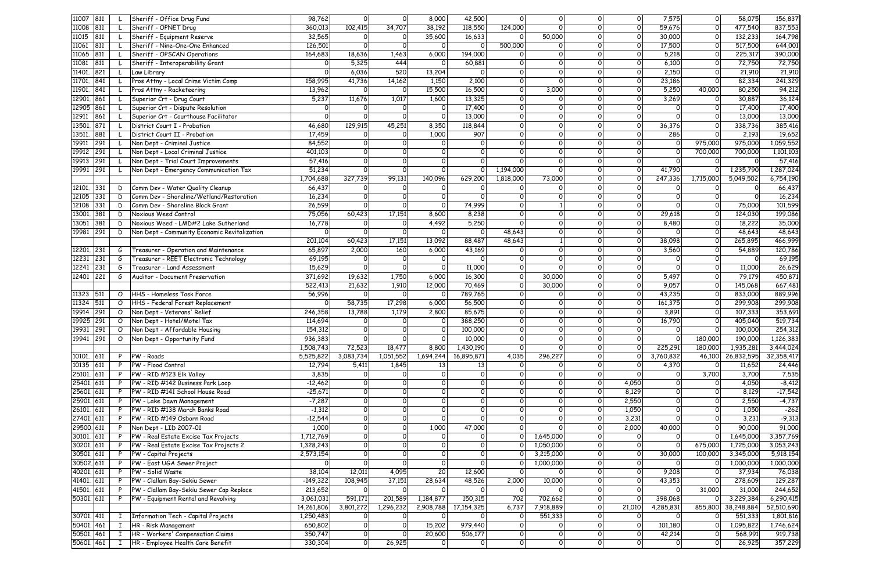| 11007 811  |     |              | Sheriff - Office Drug Fund                   | 98,762     | $\mathsf{O}$   | 0                   | 8,000          | 42,500         | 0            | 0            | 0        | Οl       | 7,575     | $\overline{O}$ | 58,075       | 156,837    |
|------------|-----|--------------|----------------------------------------------|------------|----------------|---------------------|----------------|----------------|--------------|--------------|----------|----------|-----------|----------------|--------------|------------|
| 11008 811  |     |              | Sheriff - OPNET Drug                         | 360,013    | 102,415        | 34,707              | 38,192         | 118,550        | 124,000      | $\Omega$     | $\Omega$ | $\Omega$ | 59,676    | $\mathsf{O}$   | 477,540      | 837,553    |
| 11015      | 811 |              | Sheriff - Equipment Reserve                  | 32,565     | 0              | 0                   | 35,600         | 16,633         |              | 50,000       | 0        | 0        | 30,000    | $\mathsf{O}$   | 132,233      | 164,798    |
| 11061 811  |     |              | Sheriff - Nine-One-One Enhanced              | 126,501    | $\Omega$       | 0                   | 0              | ∩              | 500,000      | Ω            | 0        | 0        | 17,500    | $\mathsf{O}$   | 517,500      | 644,001    |
| 11065 811  |     |              | Sheriff - OPSCAN Operations                  | 164,683    | 18,636         | 1,463               | 6,000          | 194,000        | Ω            |              | 0        | 0        | 5,218     | $\mathbf{O}$   | 225,317      | 390,000    |
| 11081      | 811 |              | Sheriff - Interoperability Grant             | 0          | 5,325          | 444                 | $\Omega$       | 60,881         |              | $\Omega$     | $\Omega$ | O        | 6,100     | $\circ$        | 72,750       | 72,750     |
| 11401. 821 |     |              | Law Library                                  | O          | 6,036          | 520                 | 13,204         | ∩              | $\Omega$     | 0            | 0        | $\Omega$ | 2,150     | $\overline{O}$ | 21,910       | 21,910     |
|            |     |              |                                              |            |                |                     |                |                |              |              |          |          |           |                |              |            |
| 11701. 841 |     |              | Pros Attny - Local Crime Victim Comp         | 158,995    | 41,736         | 14,162              | 1,150          | 2,100          | $\mathsf{o}$ | $\Omega$     | $\Omega$ | $\Omega$ | 23,186    | $\Omega$       | 82,334       | 241,329    |
| 11901. 841 |     |              | Pros Attny - Racketeering                    | 13,962     | $\Omega$       | $\Omega$            | 15,500         | 16,500         | $\Omega$     | 3,000        | $\Omega$ | $\Omega$ | 5,250     | 40,000         | 80,250       | 94,212     |
| 12901. 861 |     |              | Superior Crt - Drug Court                    | 5,237      | 11,676         | 1,017               | 1,600          | 13,325         | $\Omega$     | $\Omega$     | O        | $\Omega$ | 3,269     | $\circ$        | 30,887       | 36,124     |
| 12905 861  |     |              | Superior Crt - Dispute Resolution            | $\Omega$   | $\Omega$       | $\Omega$            | 0              | 17,400         | $\mathsf{O}$ | $\Omega$     | $\Omega$ | $\Omega$ | $\Omega$  | $\mathsf{O}$   | 17,400       | 17,400     |
| 12911 861  |     |              | Superior Crt - Courthouse Facilitator        |            |                | $\Omega$            | $\Omega$       | 13,000         | 0            | $\Omega$     | 0        | $\Omega$ |           | $\mathsf{O}$   | 13,000       | 13,000     |
| 13501. 871 |     |              | District Court I - Probation                 | 46,680     | 129,915        | 45,251              | 8,350          | 118,844        | $\mathsf{O}$ | 0            | $\Omega$ | $\Omega$ | 36,376    | $\mathsf{O}$   | 338,736      | 385,416    |
| 13511. 881 |     |              | District Court II - Probation                | 17,459     | $\mathsf{o}$   | 0                   | 1,000          | 907            | $\mathsf{O}$ | 0            | $\Omega$ | 0l       | 286       | $\Omega$       | 2,193        | 19,652     |
| 19911 291  |     |              | Non Dept - Criminal Justice                  | 84,552     | $\mathsf{O}$   | $\Omega$            |                | $\Omega$       | $\Omega$     | $\circ$      | 0        | $\Omega$ | 0         | 975,000        | 975,000      | 1,059,552  |
|            |     |              |                                              |            |                |                     |                |                |              |              |          |          |           |                |              |            |
| 19912 291  |     |              | Non Dept - Local Criminal Justice            | 401,103    | $\mathsf{O}$   | $\circ$             | $\Omega$       | $\Omega$       |              | $\circ$      | 0        | 0        | 0         | 700,000        | 700,000      | 1,101,103  |
| 19913 291  |     |              | Non Dept - Trial Court Improvements          | 57,416     | $\mathsf{O}$   | $\mathsf{O}$        | $\Omega$       | $\Omega$       | $\Omega$     | O            | O        | $\Omega$ | 0         | $\circ$        | <sup>O</sup> | 57,416     |
| 19991 291  |     |              | Non Dept - Emergency Communication Tax       | 51,234     | $\circ$        | $\circ$             | 0              |                | 1,194,000    | 0            | 0        | Οl       | 41,790    | 0              | 1,235,790    | 1,287,024  |
|            |     |              |                                              | 1,704,688  | 327,739        | 99,131              | 140,096        | 629,200        | 1,818,000    | 73,000       | 0        | $\Omega$ | 247,336   | 1,715,000      | 5,049,502    | 6,754,190  |
| 12101. 331 |     | D            | Comm Dev - Water Quality Cleanup             | 66,437     | $\Omega$       | $\Omega$            | $\Omega$       | ∩              | ∩            | ∩            | $\Omega$ | $\Omega$ | O         | 0              |              | 66,437     |
| 12105 331  |     | D            | Comm Dev - Shoreline/Wetland/Restoration     | 16,234     | $\Omega$       | $\Omega$            | $\Omega$       | ∩              | $\Omega$     | ∩            | $\Omega$ | $\Omega$ | O         | $\Omega$       |              | 16,234     |
| 12108 331  |     | D            | Comm Dev - Shoreline Block Grant             | 26,599     | $\Omega$       | $\Omega$            | $\Omega$       | 74,999         | $\Omega$     |              | $\Omega$ | $\Omega$ |           | $\mathsf{o}$   | 75,000       | 101,599    |
|            |     |              | Noxious Weed Control                         |            |                |                     |                |                | $\Omega$     | $\Omega$     | $\Omega$ | $\Omega$ |           | $\mathsf{o}$   |              |            |
| 13001. 381 |     | D            |                                              | 75,056     | 60,423         | 17,151              | 8,600          | 8,238          |              |              |          |          | 29,618    |                | 124,030      | 199,086    |
| 13051 381  |     | D            | Noxious Weed - LMD#2 Lake Sutherland         | 16,778     | $\Omega$       | $\Omega$            | 4,492          | 5,250          |              | $\Omega$     | $\Omega$ | $\Omega$ | 8,480     | $\overline{0}$ | 18,222       | 35,000     |
| 19981 291  |     | D            | Non Dept - Community Economic Revitalization | $\Omega$   | $\Omega$       | $\Omega$            | $\Omega$       | $\Omega$       | 48,643       | $\Omega$     | O        | 0        |           | $\Omega$       | 48,643       | 48,643     |
|            |     |              |                                              | 201,104    | 60,423         | 17,151              | 13,092         | 88,487         | 48,643       | $\mathbf{1}$ | 0        | οl       | 38,098    | $\circ$        | 265,895      | 466,999    |
| 12201. 231 |     | G            | Treasurer - Operation and Maintenance        | 65,897     | 2,000          | 160                 | 6,000          | 43,169         | $\Omega$     | $\Omega$     | O        | O        | 3,560     | $\overline{0}$ | 54,889       | 120,786    |
| 12231 231  |     | G            | Treasurer - REET Electronic Technology       | 69,195     | $\Omega$       | 0                   | $\Omega$       |                | $\Omega$     | $\Omega$     | 0        | $\Omega$ |           | $\overline{0}$ | $\Omega$     | 69,195     |
| 12241 231  |     | G            | Treasurer - Land Assessment                  | 15,629     | $\Omega$       | 0                   | $\Omega$       | 11,000         | $\mathsf{O}$ | $\Omega$     | 0        | 0        |           | $\overline{0}$ | 11,000       | 26,629     |
| 12401 221  |     | G            | Auditor - Document Preservation              | 371,692    | 19,632         | 1,750               | 6,000          | 16,300         | $\mathsf{O}$ | 30,000       | 0        | 0        | 5,497     | $\mathsf{O}$   | 79,179       | 450,871    |
|            |     |              |                                              | 522,413    | 21,632         | 1,910               | 12,000         | 70,469         |              | 30,000       | $\Omega$ | $\Omega$ | 9,057     | $\mathsf{o}$   | 145,068      | 667,481    |
|            |     |              |                                              |            |                |                     |                |                |              |              |          |          |           |                |              |            |
| 11323 511  |     | O            | HHS - Homeless Task Force                    | 56,996     | $\Omega$       | $\Omega$            | $\Omega$       | 789,765        | $\Omega$     | $\Omega$     | $\Omega$ | οl       | 43,235    | $\circ$        | 833,000      | 889,996    |
| 11324 511  |     |              | O HHS - Federal Forest Replacement           | 0          | 58,735         | 17,298              | 6,000          | 56,500         | $\Omega$     | $\Omega$     | οl       | 0        | 161,375   | $\circ$        | 299,908      | 299,908    |
| 19914 291  |     | $\circ$      | Non Dept - Veterans' Relief                  | 246,358    | 13,788         | 1,179               | 2,800          | 85,675         | $\Omega$     | $\circ$      | 0        | $\Omega$ | 3,891     | $\circ$        | 107,333      | 353,691    |
| 19925 291  |     |              | O Non Dept - Hotel/Motel Tax                 | 114,694    | $\mathsf{o}$   | $\Omega$            | $\Omega$       | 388,250        | $\Omega$     | 0            | $\Omega$ | 0        | 16,790    | $\overline{0}$ | 405,040      | 519,734    |
| 19931 291  |     |              | O Non Dept - Affordable Housing              | 154,312    | $\Omega$       |                     | O              | 100,000        | $\Omega$     | ΩI           |          |          |           | $\Omega$       | 100,000      | 254,312    |
| 19941 291  |     | $\circ$      | Non Dept - Opportunity Fund                  | 936,383    | $\mathsf{O}$   |                     | 0              | 10,000         | 0            |              |          |          | 0         | 180,000        | 190,000      | 1,126,383  |
|            |     |              |                                              | 1,508,743  | 72,523         | 18,477              | 8,800          | 1,430,190      | $\Omega$     | 0            | $\Omega$ | οl       | 225,291   | 180,000        | 1,935,281    | 3,444,024  |
| 10101. 611 |     |              | P   PW - Roads                               | 5,525,822  | 3,083,734      | 1,051,552           | 1,694,244      | 16,895,871     | 4,035        | 296,227      | 0        |          | 3,760,832 | 46,100         | 26,832,595   | 32,358,417 |
|            |     |              |                                              |            |                |                     |                |                |              |              |          |          |           |                |              |            |
| 10135 611  |     | P.           | PW - Flood Control                           | 12,794     | 5,411          | 1,845               | 13             | 13             |              |              | 0        | 0        | 4,370     | 0              | 11,652       | 24,446     |
| 25101. 611 |     | P.           | $ PW - RID #123 Elk Valuey$                  | 3,835      | 0              | 0                   | $\Omega$       | $\Omega$       | $\Omega$     | $\Omega$     | 0        | 0        | 0         | 3,700          | 3,700        | 7,535      |
| 25401. 611 |     |              | PW - RID #142 Business Park Loop             | $-12,462$  | $\mathsf{O}$   | 0                   | 0              | 0              | 0            | 0            | 0        | 4,050    |           | 0              | 4,050        | $-8,412$   |
| 25601. 611 |     |              | PW - RID #141 School House Road              | $-25,671$  | $\overline{0}$ | $\mathsf{o}$        | $\overline{0}$ | $\overline{0}$ | $\mathsf{O}$ | 0            | 0        | 8,129    | 0         | 0              | 8,129        | $-17,542$  |
| 25901. 611 |     |              | P   PW - Lake Dawn Management                | $-7,287$   | $\overline{O}$ | $\mathsf{O}$        | $\mathsf{o}$   | $\mathsf{o}$   | $\mathsf{O}$ | 0            | 0        | 2,550    | 0         | $\overline{0}$ | 2,550        | $-4,737$   |
| 26101. 611 |     |              | P   PW - RID #138 March Banks Road           | $-1,312$   | $\overline{O}$ | $\mathsf{o}$        | $\mathsf{o}$   | $\mathsf{o}$   | $\mathsf{O}$ | $\Omega$     | 0        | 1,050    | $\Omega$  | $\overline{0}$ | 1,050        | $-262$     |
| 27401. 611 |     |              | P   PW - RID #149 Osborn Road                | $-12,544$  | $\circ$        | $\circ$             | $\Omega$       | $\Omega$       | $\mathsf{o}$ | 0            | 0        | 3,231    | 0         | $\overline{O}$ | 3,231        | $-9,313$   |
| 29500. 611 |     |              | P   Non Dept - LID 2007-01                   | 1,000      | $\circ$        | $\circ$             | 1,000          | 47,000         | $\mathsf{o}$ | $\Omega$     | O        | 2,000    | 40,000    | $\mathsf{O}$   | 90,000       | 91,000     |
|            |     |              |                                              |            |                |                     |                |                |              |              |          |          |           |                |              |            |
| 30101. 611 |     |              | P   PW - Real Estate Excise Tax Projects     | 1,712,769  | $\mathsf{O}$   | $\mathsf{o}$        | 0              | $\Omega$       |              | 1,645,000    | 0        | 0        | οl        | $\overline{O}$ | 1,645,000    | 3,357,769  |
| 30201. 611 |     |              | P   PW - Real Estate Excise Tax Projects 2   | 1,328,243  | $\mathsf{o}$   | $\mathsf{O}$        | $\Omega$       | $\Omega$       |              | 1,050,000    | $\Omega$ | O        | $\Omega$  | 675,000        | 1,725,000    | 3,053,243  |
| 30501. 611 |     |              | P   PW - Capital Projects                    | 2,573,154  | $\Omega$       | $\Omega$            | $\Omega$       | $\Omega$       |              | 3,215,000    | $\Omega$ | 0        | 30,000    | 100,000        | 3,345,000    | 5,918,154  |
| 30502. 611 |     |              | P   PW - East UGA Sewer Project              | 0          | $\Omega$       | $\Omega$            | $\Omega$       | $\Omega$       |              | 1,000,000    | $\Omega$ | 0        | οl        | $\overline{O}$ | 1,000,000    | 1,000,000  |
| 40201. 611 |     | P.           | PW - Solid Waste                             | 38,104     | 12,011         | 4,095               | 20             | 12,600         | $\mathsf{o}$ |              | 0        | 0        | 9,208     | $\circ$        | 37,934       | 76,038     |
| 41401. 611 |     | P.           | PW - Clallam Bay-Sekiu Sewer                 | $-149,322$ | 108,945        | $\overline{37,}151$ | 28,634         | 48,526         | 2,000        | 10,000       | $\Omega$ | 0        | 43,353    | $\circ$        | 278,609      | 129,287    |
| 41501. 611 |     |              | PW - Clallam Bay-Sekiu Sewer Cap Replace     | 213,652    | 0              | $\circ$             | $\circ$        |                | $\mathsf{o}$ |              | 0        | 0        | 0         | 31,000         | 31,000       | 244,652    |
| 50301. 611 |     |              | PW - Equipment Rental and Revolving          | 3,061,031  | 591,171        | 201,589             | 1,184,877      | 150,315        | 702          | 702,662      | $\Omega$ | 0        | 398,068   | $\overline{O}$ | 3,229,384    | 6,290,415  |
|            |     |              |                                              |            |                |                     |                |                |              |              |          |          |           |                |              |            |
|            |     |              |                                              | 14,261,806 | 3,801,272      | 1,296,232           | 2,908,788      | 17, 154, 325   | 6,737        | 7,918,889    | 0        | 21,010   | 4,285,831 | 855,800        | 38,248,884   | 52,510,690 |
| 30701. 411 |     |              | Information Tech - Capital Projects          | 1,250,483  | 0              | $\circ$             |                |                | $\mathsf{o}$ | 551,333      | 0        | 0l       | οı        | 0              | 551,333      | 1,801,816  |
| 50401. 461 |     |              | HR - Risk Management                         | 650,802    | $\mathsf{O}$   | 0                   | 15,202         | 979,440        | $\mathsf{o}$ | 0            | 0        | 0        | 101,180   | $\overline{O}$ | 1,095,822    | 1,746,624  |
| 50501. 461 |     |              | HR - Workers' Compensation Claims            | 350,747    | $\circ$        | $\Omega$            | 20,600         | 506,177        | $\mathsf{O}$ | 0            | 0        | 0l       | 42,214    | $\mathsf{o}$   | 568,991      | 919,738    |
| 50601. 461 |     | $\mathbf{I}$ | HR - Employee Health Care Benefit            | 330,304    | $\circ$        | 26,925              | $\circ$        | $\circ$        | $\circ$      | 0            | 0        | 0        | 0         | 0              | 26,925       | 357,229    |